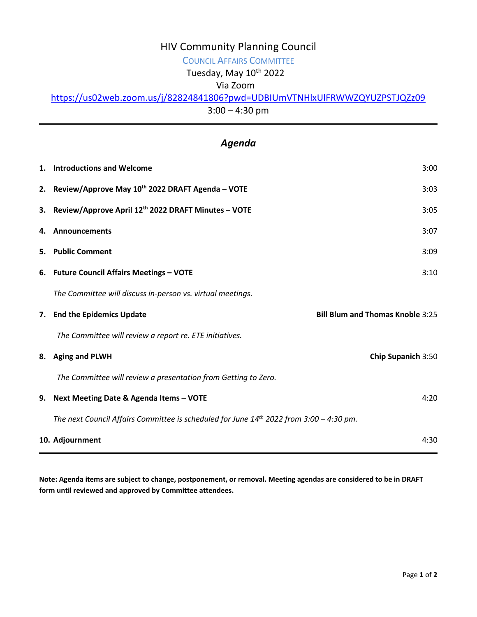## HIV Community Planning Council

# COUNCIL AFFAIRS COMMITTEE

Tuesday, May 10<sup>th</sup> 2022

### Via Zoom

### <https://us02web.zoom.us/j/82824841806?pwd=UDBIUmVTNHlxUlFRWWZQYUZPSTJQZz09>

3:00 – 4:30 pm

## *Agenda*

| 1. Introductions and Welcome                                                                 | 3:00                                    |  |
|----------------------------------------------------------------------------------------------|-----------------------------------------|--|
| 2. Review/Approve May 10th 2022 DRAFT Agenda - VOTE                                          | 3:03                                    |  |
| 3. Review/Approve April 12th 2022 DRAFT Minutes - VOTE                                       | 3:05                                    |  |
| 4. Announcements                                                                             | 3:07                                    |  |
| 5. Public Comment                                                                            | 3:09                                    |  |
| 6. Future Council Affairs Meetings - VOTE                                                    | 3:10                                    |  |
| The Committee will discuss in-person vs. virtual meetings.                                   |                                         |  |
| 7. End the Epidemics Update                                                                  | <b>Bill Blum and Thomas Knoble 3:25</b> |  |
| The Committee will review a report re. ETE initiatives.                                      |                                         |  |
| 8. Aging and PLWH                                                                            | Chip Supanich 3:50                      |  |
| The Committee will review a presentation from Getting to Zero.                               |                                         |  |
| 9. Next Meeting Date & Agenda Items - VOTE                                                   | 4:20                                    |  |
| The next Council Affairs Committee is scheduled for June $14^{th}$ 2022 from 3:00 - 4:30 pm. |                                         |  |
| 4:30<br>10. Adjournment                                                                      |                                         |  |

**Note: Agenda items are subject to change, postponement, or removal. Meeting agendas are considered to be in DRAFT form until reviewed and approved by Committee attendees.**